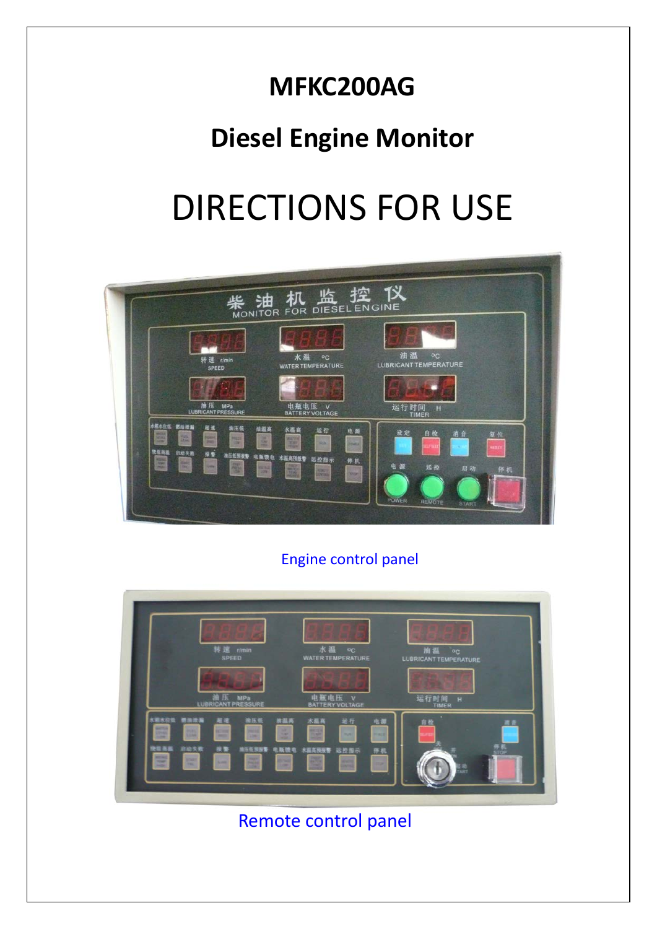## **MFKC200AG**

## **Diesel Engine Monitor**

# DIRECTIONS FOR USE



#### Engine control panel



Remote control panel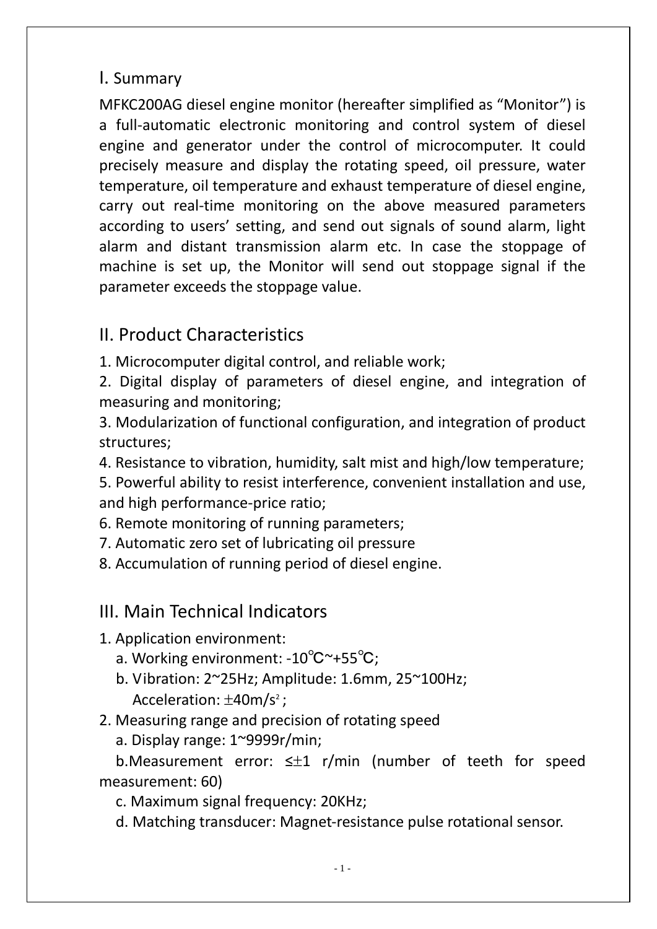#### I. Summary

MFKC200AG diesel engine monitor (hereafter simplified as "Monitor") is a full-automatic electronic monitoring and control system of diesel engine and generator under the control of microcomputer. It could precisely measure and display the rotating speed, oil pressure, water temperature, oil temperature and exhaust temperature of diesel engine, carry out real-time monitoring on the above measured parameters according to users' setting, and send out signals of sound alarm, light alarm and distant transmission alarm etc. In case the stoppage of machine is set up, the Monitor will send out stoppage signal if the parameter exceeds the stoppage value.

#### II. Product Characteristics

1. Microcomputer digital control, and reliable work;

2. Digital display of parameters of diesel engine, and integration of measuring and monitoring;

3. Modularization of functional configuration, and integration of product structures;

4. Resistance to vibration, humidity, salt mist and high/low temperature;

5. Powerful ability to resist interference, convenient installation and use, and high performance-price ratio;

6. Remote monitoring of running parameters;

7. Automatic zero set of lubricating oil pressure

8. Accumulation of running period of diesel engine.

#### III. Main Technical Indicators

1. Application environment:

- a. Working environment: -10℃~+55℃;
- b. Vibration: 2~25Hz; Amplitude: 1.6mm, 25~100Hz; Acceleration:  $\pm 40$ m/s<sup>2</sup> ;
- 2. Measuring range and precision of rotating speed
	- a. Display range: 1~9999r/min;

b.Measurement error: ≤±1 r/min (number of teeth for speed measurement: 60)

c. Maximum signal frequency: 20KHz;

d. Matching transducer: Magnet-resistance pulse rotational sensor.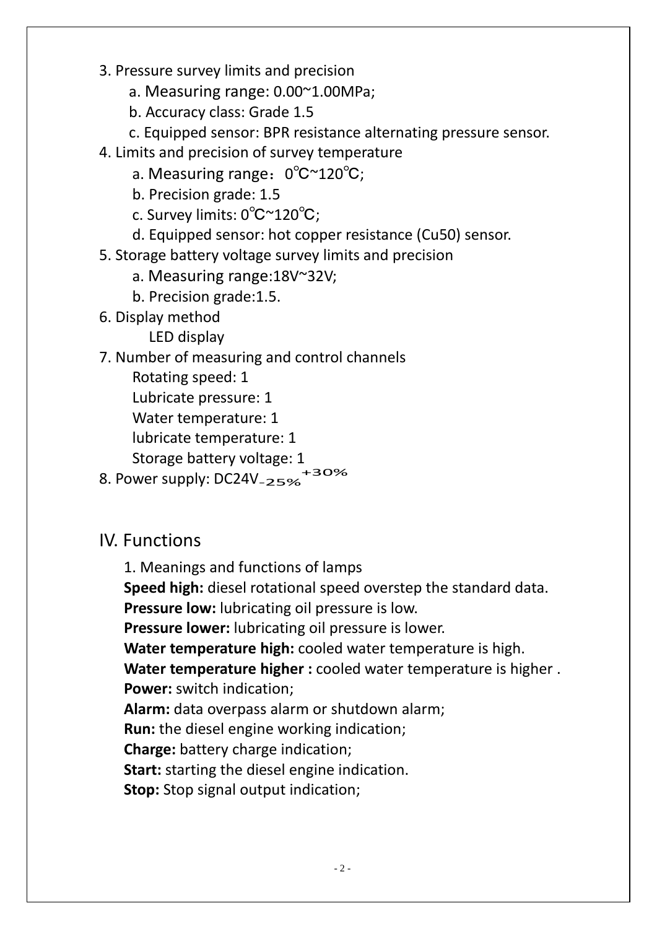- 3. Pressure survey limits and precision
	- a. Measuring range: 0.00~1.00MPa;
	- b. Accuracy class: Grade 1.5
	- c. Equipped sensor: BPR resistance alternating pressure sensor.
- 4. Limits and precision of survey temperature
	- a. Measuring range: 0℃~120℃;
	- b. Precision grade: 1.5
	- c. Survey limits: 0℃~120℃;
	- d. Equipped sensor: hot copper resistance (Cu50) sensor.
- 5. Storage battery voltage survey limits and precision
	- a. Measuring range:18V~32V;
	- b. Precision grade:1.5.
- 6. Display method
	- LED display
- 7. Number of measuring and control channels
	- Rotating speed: 1
	- Lubricate pressure: 1
	- Water temperature: 1
	- lubricate temperature: 1
	- Storage battery voltage: 1
- 8. Power supply: DC24V<sub>-25%</sub> .<br>+30%

#### IV. Functions

- 1. Meanings and functions of lamps
- **Speed high:** diesel rotational speed overstep the standard data.

**Pressure low:** lubricating oil pressure is low.

**Pressure lower:** lubricating oil pressure is lower.

**Water temperature high:** cooled water temperature is high.

**Water temperature higher :** cooled water temperature is higher . **Power:** switch indication;

**Alarm:** data overpass alarm or shutdown alarm;

**Run:** the diesel engine working indication;

**Charge:** battery charge indication;

**Start:** starting the diesel engine indication.

**Stop:** Stop signal output indication;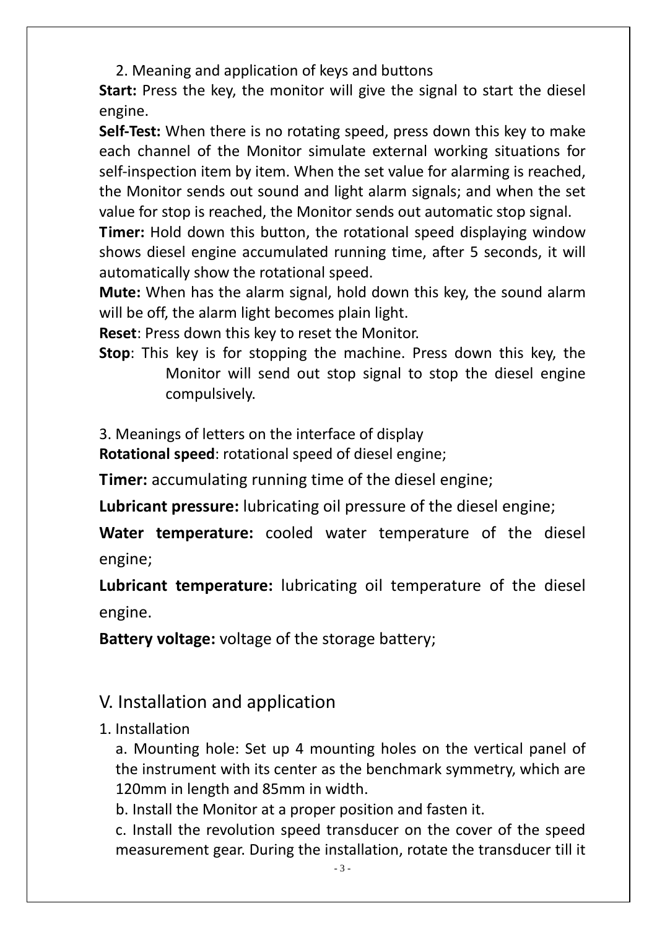2. Meaning and application of keys and buttons

**Start:** Press the key, the monitor will give the signal to start the diesel engine.

**Self-Test:** When there is no rotating speed, press down this key to make each channel of the Monitor simulate external working situations for self-inspection item by item. When the set value for alarming is reached, the Monitor sends out sound and light alarm signals; and when the set value for stop is reached, the Monitor sends out automatic stop signal.

**Timer:** Hold down this button, the rotational speed displaying window shows diesel engine accumulated running time, after 5 seconds, it will automatically show the rotational speed.

**Mute:** When has the alarm signal, hold down this key, the sound alarm will be off, the alarm light becomes plain light.

**Reset**: Press down this key to reset the Monitor.

**Stop**: This key is for stopping the machine. Press down this key, the Monitor will send out stop signal to stop the diesel engine compulsively.

3. Meanings of letters on the interface of display

**Rotational speed**: rotational speed of diesel engine;

**Timer:** accumulating running time of the diesel engine;

**Lubricant pressure:** lubricating oil pressure of the diesel engine;

**Water temperature:** cooled water temperature of the diesel engine;

**Lubricant temperature:** lubricating oil temperature of the diesel engine.

**Battery voltage:** voltage of the storage battery;

#### V. Installation and application

1. Installation

a. Mounting hole: Set up 4 mounting holes on the vertical panel of the instrument with its center as the benchmark symmetry, which are 120mm in length and 85mm in width.

b. Install the Monitor at a proper position and fasten it.

c. Install the revolution speed transducer on the cover of the speed measurement gear. During the installation, rotate the transducer till it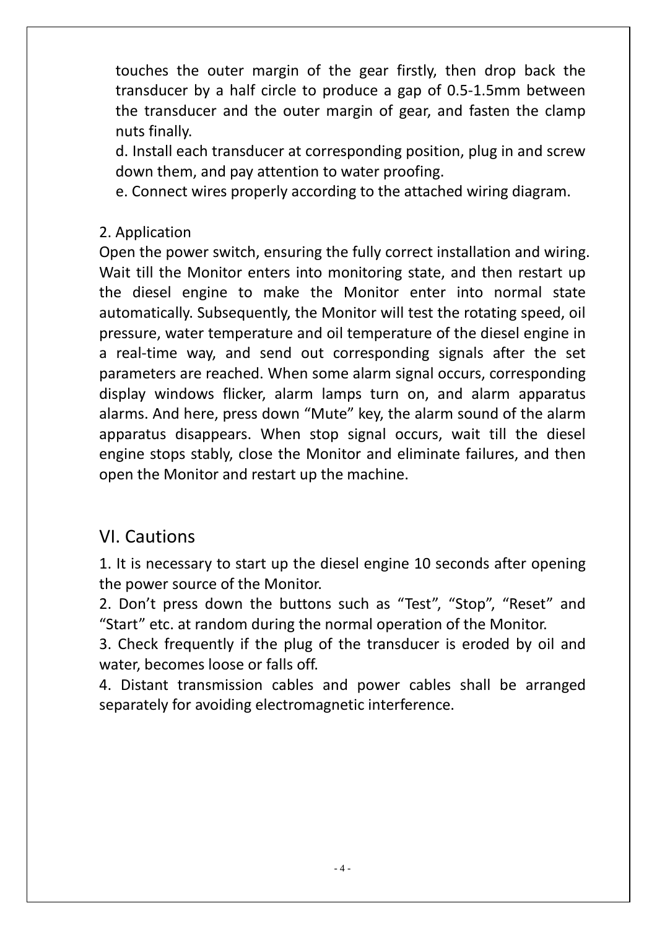touches the outer margin of the gear firstly, then drop back the transducer by a half circle to produce a gap of 0.5-1.5mm between the transducer and the outer margin of gear, and fasten the clamp nuts finally.

d. Install each transducer at corresponding position, plug in and screw down them, and pay attention to water proofing.

e. Connect wires properly according to the attached wiring diagram.

#### 2. Application

Open the power switch, ensuring the fully correct installation and wiring. Wait till the Monitor enters into monitoring state, and then restart up the diesel engine to make the Monitor enter into normal state automatically. Subsequently, the Monitor will test the rotating speed, oil pressure, water temperature and oil temperature of the diesel engine in a real-time way, and send out corresponding signals after the set parameters are reached. When some alarm signal occurs, corresponding display windows flicker, alarm lamps turn on, and alarm apparatus alarms. And here, press down "Mute" key, the alarm sound of the alarm apparatus disappears. When stop signal occurs, wait till the diesel engine stops stably, close the Monitor and eliminate failures, and then open the Monitor and restart up the machine.

#### VI. Cautions

1. It is necessary to start up the diesel engine 10 seconds after opening the power source of the Monitor.

2. Don't press down the buttons such as "Test", "Stop", "Reset" and "Start" etc. at random during the normal operation of the Monitor.

3. Check frequently if the plug of the transducer is eroded by oil and water, becomes loose or falls off.

4. Distant transmission cables and power cables shall be arranged separately for avoiding electromagnetic interference.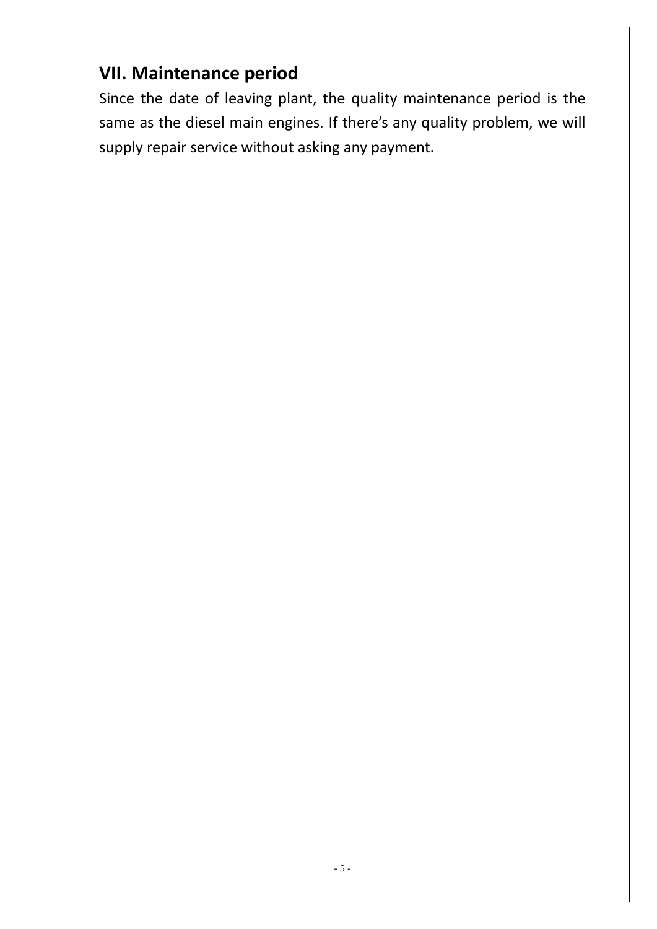#### **VII. Maintenance period**

Since the date of leaving plant, the quality maintenance period is the same as the diesel main engines. If there's any quality problem, we will supply repair service without asking any payment.